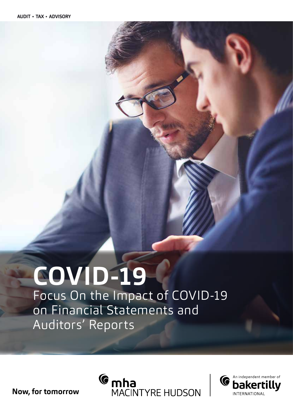# **COVID-19**

Focus On the Impact of COVID-19 on Financial Statements and Auditors' Reports

**Now, for tomorrow**



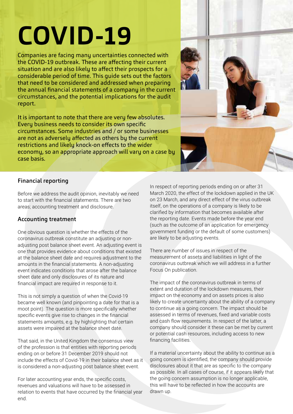## **COVID-19**

Companies are facing many uncertainties connected with the COVID-19 outbreak. These are affecting their current situation and are also likely to affect their prospects for a considerable period of time. This guide sets out the factors that need to be considered and addressed when preparing the annual financial statements of a company in the current circumstances, and the potential implications for the audit report.

It is important to note that there are very few absolutes. Every business needs to consider its own specific circumstances. Some industries and / or some businesses are not as adversely affected as others by the current restrictions and likely knock-on effects to the wider economy, so an appropriate approach will vary on a case by case basis.



#### Financial reporting

Before we address the audit opinion, inevitably we need to start with the financial statements. There are two areas; accounting treatment and disclosure.

#### Accounting treatment

One obvious question is whether the effects of the coronavirus outbreak constitute an adjusting or nonadjusting post balance sheet event. An adjusting event is one that provides evidence about conditions that existed at the balance sheet date and requires adjustment to the amounts in the financial statements. A non-adjusting event indicates conditions that arose after the balance sheet date and only disclosures of its nature and financial impact are required in response to it.

This is not simply a question of when the Covid-19 became well known (and pinpointing a date for that is a moot point). The question is more specifically whether specific events give rise to changes in the financial statements amounts, e.g. by highlighting that certain assets were impaired at the balance sheet date.

That said, in the United Kingdom the consensus view of the profession is that entities with reporting periods ending on or before 31 December 2019 should not include the effects of Covid-19 in their balance sheet as it is considered a non-adjusting post balance sheet event.

For later accounting year ends, the specific costs, revenues and valuations will have to be assessed in relation to events that have occurred by the financial year end.

In respect of reporting periods ending on or after 31 March 2020, the effect of the lockdown applied in the UK on 23 March, and any direct effect of the virus outbreak itself, on the operations of a company is likely to be clarified by information that becomes available after the reporting date. Events made before the year end (such as the outcome of an application for emergency government funding or the default of some customers) are likely to be adjusting events.

There are number of issues in respect of the measurement of assets and liabilities in light of the coronavirus outbreak which we will address in a further Focus On publication.

The impact of the coronavirus outbreak in terms of extent and duration of the lockdown measures, their impact on the economy and on assets prices is also likely to create uncertainty about the ability of a company to continue as a going concern. The impact should be assessed in terms of revenues, fixed and variable costs and cash flow requirements. In respect of the latter, a company should consider it these can be met by current or potential cash resources, including access to new financing facilities.

If a material uncertainty about the ability to continue as a going concern is identified, the company should provide disclosures about it that are as specific to the company as possible. In all cases of course, if it appears likely that the going concern assumption is no longer applicable, this will have to be reflected in how the accounts are drawn up.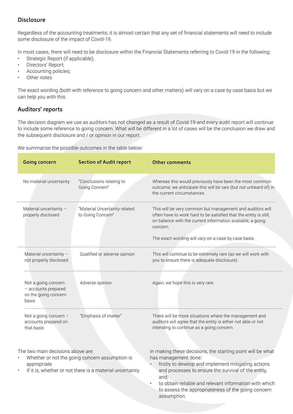#### Disclosure

Regardless of the accounting treatments, it is almost certain that any set of financial statements will need to include some disclosure of the impact of Covid-19.

In most cases, there will need to be disclosure within the Financial Statements referring to Covid-19 in the following:

- Strategic Report (if applicable);
- Directors' Report;
- Accounting policies;
- Other notes

The exact wording (both with reference to going concern and other matters) will vary on a case by case basis but we can help you with this.

#### Auditors' reports

The decision diagram we use as auditors has not changed as a result of Covid-19 and every audit report will continue to include some reference to going concern. What will be different in a lot of cases will be the conclusion we draw and the subsequent disclosure and / or opinion in our report.

We summarise the possible outcomes in the table below:

| Going concern                                                                                                                                                  | <b>Section of Audit report</b>                     | <b>Other comments</b>                                                                                                                                                                                                                                                                                                                   |
|----------------------------------------------------------------------------------------------------------------------------------------------------------------|----------------------------------------------------|-----------------------------------------------------------------------------------------------------------------------------------------------------------------------------------------------------------------------------------------------------------------------------------------------------------------------------------------|
| No material uncertainty                                                                                                                                        | "Conclusions relating to<br>Going Concern"         | Whereas this would previously have been the most common<br>outcome, we anticipate this will be rare (but not unheard of) in<br>the current circumstances.                                                                                                                                                                               |
| Material uncertainty -<br>properly disclosed                                                                                                                   | "Material Uncertainty related<br>to Going Concern" | This will be very common but management and auditors will<br>often have to work hard to be satisfied that the entity is still,<br>on balance with the current information available, a going<br>concern.                                                                                                                                |
|                                                                                                                                                                |                                                    | The exact wording will vary on a case by case basis.                                                                                                                                                                                                                                                                                    |
| Material uncertainty -                                                                                                                                         | Qualified or adverse opinion                       | This will continue to be extremely rare (as we will work with                                                                                                                                                                                                                                                                           |
| not properly disclosed                                                                                                                                         |                                                    | you to ensure there is adequate disclosure).                                                                                                                                                                                                                                                                                            |
| Not a going concern<br>- accounts prepared<br>on the going concern<br>basis                                                                                    | Adverse opinion                                    | Again, we hope this is very rare.                                                                                                                                                                                                                                                                                                       |
| Not a going concern -<br>accounts prepared on<br>that basis                                                                                                    | "Emphasis of matter"                               | There will be more situations where the management and<br>auditors will agree that the entity is either not able or not<br>intending to continue as a going concern.                                                                                                                                                                    |
| The two main decisions above are:<br>Whether or not the going concern assumption is<br>appropriate<br>If it is, whether or not there is a material uncertainty |                                                    | In making these decisions, the starting point will be what<br>has management done:<br>firstly to develop and implement mitigating actions<br>and processes to ensure the survival of the entity,<br>and;<br>to obtain reliable and relevant information with which<br>to assess the appropriateness of the going concern<br>assumption. |